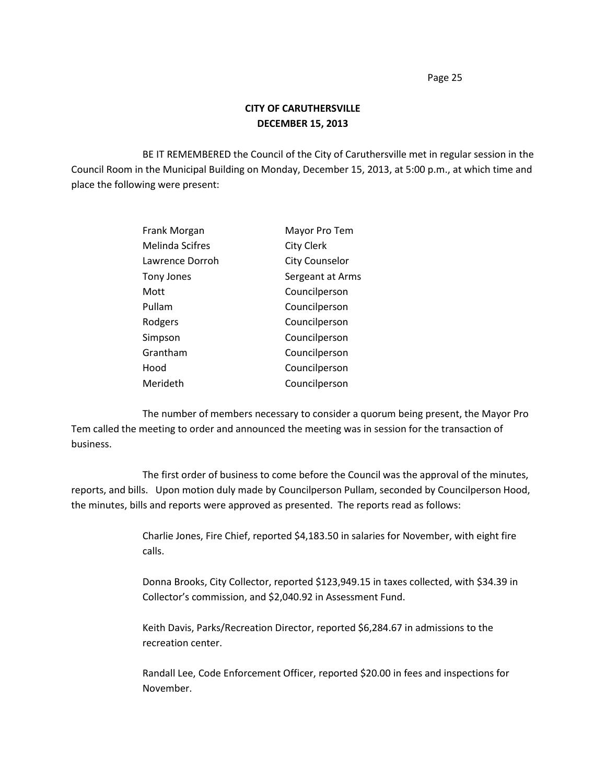## **CITY OF CARUTHERSVILLE DECEMBER 15, 2013**

BE IT REMEMBERED the Council of the City of Caruthersville met in regular session in the Council Room in the Municipal Building on Monday, December 15, 2013, at 5:00 p.m., at which time and place the following were present:

| Frank Morgan    | Mayor Pro Tem         |
|-----------------|-----------------------|
| Melinda Scifres | <b>City Clerk</b>     |
| Lawrence Dorroh | <b>City Counselor</b> |
| Tony Jones      | Sergeant at Arms      |
| Mott            | Councilperson         |
| Pullam          | Councilperson         |
| Rodgers         | Councilperson         |
| Simpson         | Councilperson         |
| Grantham        | Councilperson         |
| Hood            | Councilperson         |
| Merideth        | Councilperson         |

The number of members necessary to consider a quorum being present, the Mayor Pro Tem called the meeting to order and announced the meeting was in session for the transaction of business.

The first order of business to come before the Council was the approval of the minutes, reports, and bills. Upon motion duly made by Councilperson Pullam, seconded by Councilperson Hood, the minutes, bills and reports were approved as presented. The reports read as follows:

> Charlie Jones, Fire Chief, reported \$4,183.50 in salaries for November, with eight fire calls.

> Donna Brooks, City Collector, reported \$123,949.15 in taxes collected, with \$34.39 in Collector's commission, and \$2,040.92 in Assessment Fund.

Keith Davis, Parks/Recreation Director, reported \$6,284.67 in admissions to the recreation center.

Randall Lee, Code Enforcement Officer, reported \$20.00 in fees and inspections for November.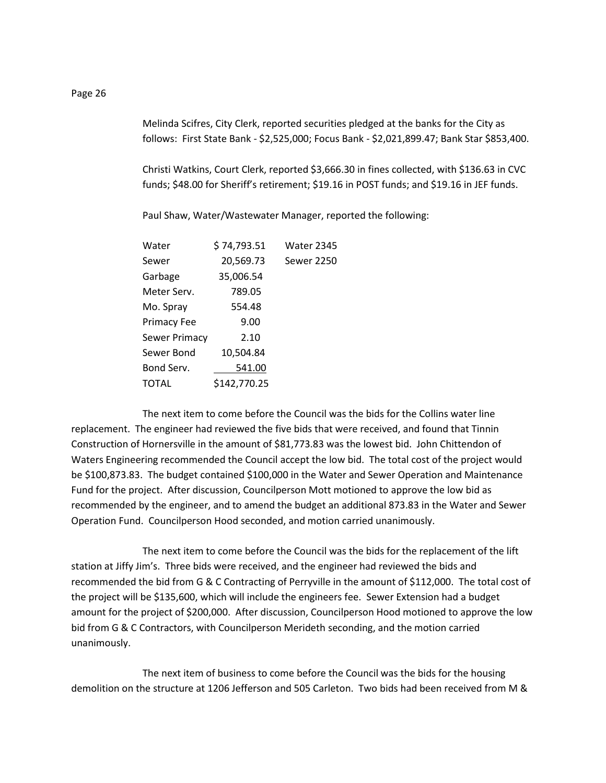Melinda Scifres, City Clerk, reported securities pledged at the banks for the City as follows: First State Bank - \$2,525,000; Focus Bank - \$2,021,899.47; Bank Star \$853,400.

Christi Watkins, Court Clerk, reported \$3,666.30 in fines collected, with \$136.63 in CVC funds; \$48.00 for Sheriff's retirement; \$19.16 in POST funds; and \$19.16 in JEF funds.

Paul Shaw, Water/Wastewater Manager, reported the following:

| Water         | \$74,793.51  | Water 2345        |
|---------------|--------------|-------------------|
| Sewer         | 20,569.73    | <b>Sewer 2250</b> |
| Garbage       | 35,006.54    |                   |
| Meter Serv.   | 789.05       |                   |
| Mo. Spray     | 554.48       |                   |
| Primacy Fee   | 9.00         |                   |
| Sewer Primacy | 2.10         |                   |
| Sewer Bond    | 10,504.84    |                   |
| Bond Serv.    | 541.00       |                   |
| TOTAL         | \$142,770.25 |                   |
|               |              |                   |

The next item to come before the Council was the bids for the Collins water line replacement. The engineer had reviewed the five bids that were received, and found that Tinnin Construction of Hornersville in the amount of \$81,773.83 was the lowest bid. John Chittendon of Waters Engineering recommended the Council accept the low bid. The total cost of the project would be \$100,873.83. The budget contained \$100,000 in the Water and Sewer Operation and Maintenance Fund for the project. After discussion, Councilperson Mott motioned to approve the low bid as recommended by the engineer, and to amend the budget an additional 873.83 in the Water and Sewer Operation Fund. Councilperson Hood seconded, and motion carried unanimously.

The next item to come before the Council was the bids for the replacement of the lift station at Jiffy Jim's. Three bids were received, and the engineer had reviewed the bids and recommended the bid from G & C Contracting of Perryville in the amount of \$112,000. The total cost of the project will be \$135,600, which will include the engineers fee. Sewer Extension had a budget amount for the project of \$200,000. After discussion, Councilperson Hood motioned to approve the low bid from G & C Contractors, with Councilperson Merideth seconding, and the motion carried unanimously.

The next item of business to come before the Council was the bids for the housing demolition on the structure at 1206 Jefferson and 505 Carleton. Two bids had been received from M &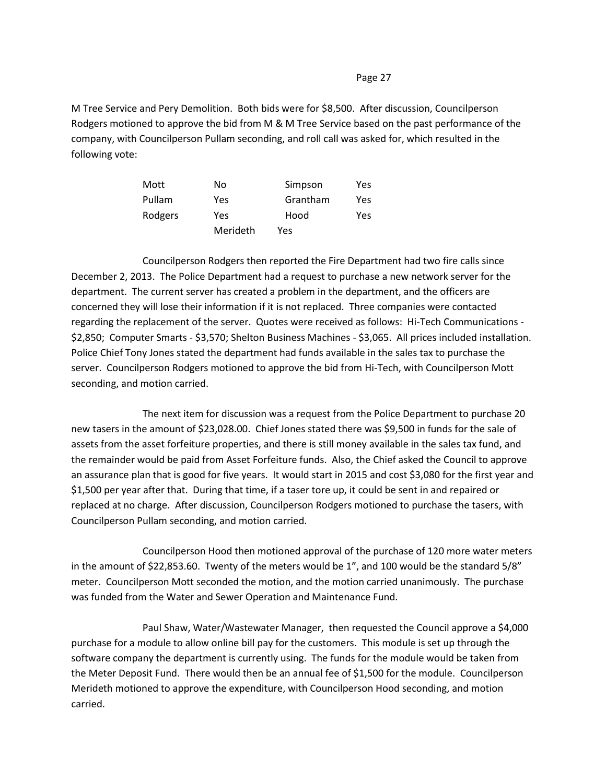M Tree Service and Pery Demolition. Both bids were for \$8,500. After discussion, Councilperson Rodgers motioned to approve the bid from M & M Tree Service based on the past performance of the company, with Councilperson Pullam seconding, and roll call was asked for, which resulted in the following vote:

| Mott    | No       | Simpson  | Yes  |
|---------|----------|----------|------|
| Pullam  | Yes      | Grantham | Yes. |
| Rodgers | Yes      | Hood     | Yes. |
|         | Merideth | Yes      |      |

Councilperson Rodgers then reported the Fire Department had two fire calls since December 2, 2013. The Police Department had a request to purchase a new network server for the department. The current server has created a problem in the department, and the officers are concerned they will lose their information if it is not replaced. Three companies were contacted regarding the replacement of the server. Quotes were received as follows: Hi-Tech Communications - \$2,850; Computer Smarts - \$3,570; Shelton Business Machines - \$3,065. All prices included installation. Police Chief Tony Jones stated the department had funds available in the sales tax to purchase the server. Councilperson Rodgers motioned to approve the bid from Hi-Tech, with Councilperson Mott seconding, and motion carried.

The next item for discussion was a request from the Police Department to purchase 20 new tasers in the amount of \$23,028.00. Chief Jones stated there was \$9,500 in funds for the sale of assets from the asset forfeiture properties, and there is still money available in the sales tax fund, and the remainder would be paid from Asset Forfeiture funds. Also, the Chief asked the Council to approve an assurance plan that is good for five years. It would start in 2015 and cost \$3,080 for the first year and \$1,500 per year after that. During that time, if a taser tore up, it could be sent in and repaired or replaced at no charge. After discussion, Councilperson Rodgers motioned to purchase the tasers, with Councilperson Pullam seconding, and motion carried.

Councilperson Hood then motioned approval of the purchase of 120 more water meters in the amount of \$22,853.60. Twenty of the meters would be 1", and 100 would be the standard 5/8" meter. Councilperson Mott seconded the motion, and the motion carried unanimously. The purchase was funded from the Water and Sewer Operation and Maintenance Fund.

Paul Shaw, Water/Wastewater Manager, then requested the Council approve a \$4,000 purchase for a module to allow online bill pay for the customers. This module is set up through the software company the department is currently using. The funds for the module would be taken from the Meter Deposit Fund. There would then be an annual fee of \$1,500 for the module. Councilperson Merideth motioned to approve the expenditure, with Councilperson Hood seconding, and motion carried.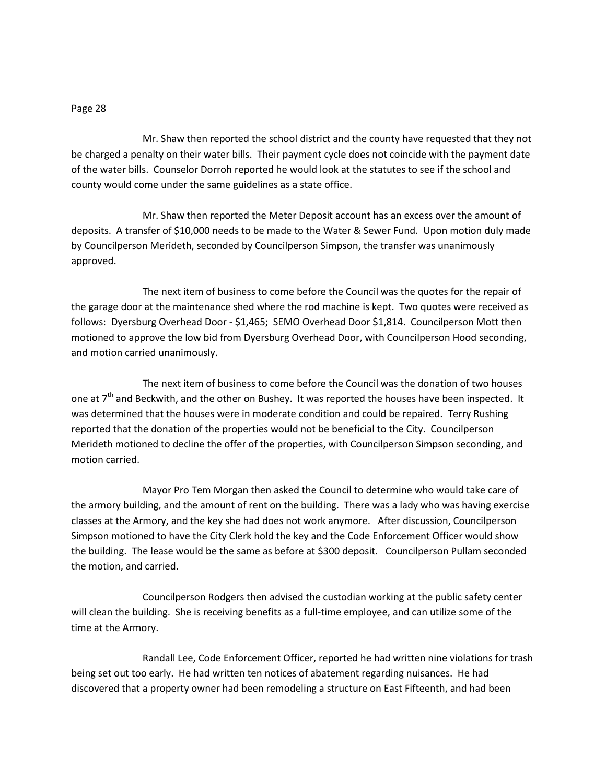Mr. Shaw then reported the school district and the county have requested that they not be charged a penalty on their water bills. Their payment cycle does not coincide with the payment date of the water bills. Counselor Dorroh reported he would look at the statutes to see if the school and county would come under the same guidelines as a state office.

Mr. Shaw then reported the Meter Deposit account has an excess over the amount of deposits. A transfer of \$10,000 needs to be made to the Water & Sewer Fund. Upon motion duly made by Councilperson Merideth, seconded by Councilperson Simpson, the transfer was unanimously approved.

The next item of business to come before the Council was the quotes for the repair of the garage door at the maintenance shed where the rod machine is kept. Two quotes were received as follows: Dyersburg Overhead Door - \$1,465; SEMO Overhead Door \$1,814. Councilperson Mott then motioned to approve the low bid from Dyersburg Overhead Door, with Councilperson Hood seconding, and motion carried unanimously.

The next item of business to come before the Council was the donation of two houses one at  $7<sup>th</sup>$  and Beckwith, and the other on Bushey. It was reported the houses have been inspected. It was determined that the houses were in moderate condition and could be repaired. Terry Rushing reported that the donation of the properties would not be beneficial to the City. Councilperson Merideth motioned to decline the offer of the properties, with Councilperson Simpson seconding, and motion carried.

Mayor Pro Tem Morgan then asked the Council to determine who would take care of the armory building, and the amount of rent on the building. There was a lady who was having exercise classes at the Armory, and the key she had does not work anymore. After discussion, Councilperson Simpson motioned to have the City Clerk hold the key and the Code Enforcement Officer would show the building. The lease would be the same as before at \$300 deposit. Councilperson Pullam seconded the motion, and carried.

Councilperson Rodgers then advised the custodian working at the public safety center will clean the building. She is receiving benefits as a full-time employee, and can utilize some of the time at the Armory.

Randall Lee, Code Enforcement Officer, reported he had written nine violations for trash being set out too early. He had written ten notices of abatement regarding nuisances. He had discovered that a property owner had been remodeling a structure on East Fifteenth, and had been